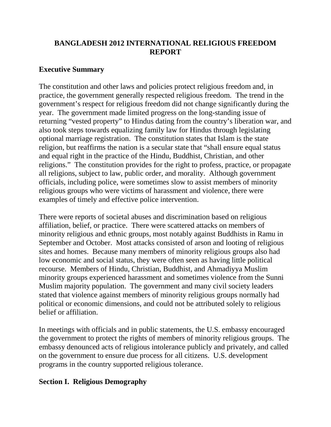## **BANGLADESH 2012 INTERNATIONAL RELIGIOUS FREEDOM REPORT**

## **Executive Summary**

The constitution and other laws and policies protect religious freedom and, in practice, the government generally respected religious freedom. The trend in the government's respect for religious freedom did not change significantly during the year. The government made limited progress on the long-standing issue of returning "vested property" to Hindus dating from the country's liberation war, and also took steps towards equalizing family law for Hindus through legislating optional marriage registration. The constitution states that Islam is the state religion, but reaffirms the nation is a secular state that "shall ensure equal status and equal right in the practice of the Hindu, Buddhist, Christian, and other religions." The constitution provides for the right to profess, practice, or propagate all religions, subject to law, public order, and morality. Although government officials, including police, were sometimes slow to assist members of minority religious groups who were victims of harassment and violence, there were examples of timely and effective police intervention.

There were reports of societal abuses and discrimination based on religious affiliation, belief, or practice. There were scattered attacks on members of minority religious and ethnic groups, most notably against Buddhists in Ramu in September and October. Most attacks consisted of arson and looting of religious sites and homes. Because many members of minority religious groups also had low economic and social status, they were often seen as having little political recourse. Members of Hindu, Christian, Buddhist, and Ahmadiyya Muslim minority groups experienced harassment and sometimes violence from the Sunni Muslim majority population. The government and many civil society leaders stated that violence against members of minority religious groups normally had political or economic dimensions, and could not be attributed solely to religious belief or affiliation.

In meetings with officials and in public statements, the U.S. embassy encouraged the government to protect the rights of members of minority religious groups. The embassy denounced acts of religious intolerance publicly and privately, and called on the government to ensure due process for all citizens. U.S. development programs in the country supported religious tolerance.

## **Section I. Religious Demography**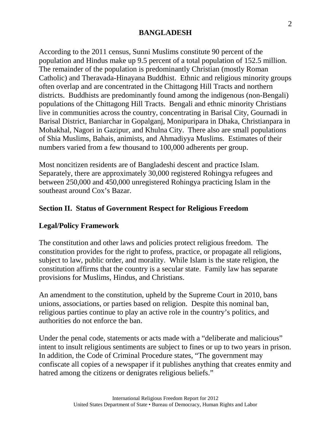According to the 2011 census, Sunni Muslims constitute 90 percent of the population and Hindus make up 9.5 percent of a total population of 152.5 million. The remainder of the population is predominantly Christian (mostly Roman Catholic) and Theravada-Hinayana Buddhist. Ethnic and religious minority groups often overlap and are concentrated in the Chittagong Hill Tracts and northern districts. Buddhists are predominantly found among the indigenous (non-Bengali) populations of the Chittagong Hill Tracts. Bengali and ethnic minority Christians live in communities across the country, concentrating in Barisal City, Gournadi in Barisal District, Baniarchar in Gopalganj, Monipuripara in Dhaka, Christianpara in Mohakhal, Nagori in Gazipur, and Khulna City. There also are small populations of Shia Muslims, Bahais, animists, and Ahmadiyya Muslims. Estimates of their numbers varied from a few thousand to 100,000 adherents per group.

Most noncitizen residents are of Bangladeshi descent and practice Islam. Separately, there are approximately 30,000 registered Rohingya refugees and between 250,000 and 450,000 unregistered Rohingya practicing Islam in the southeast around Cox's Bazar.

### **Section II. Status of Government Respect for Religious Freedom**

### **Legal/Policy Framework**

The constitution and other laws and policies protect religious freedom. The constitution provides for the right to profess, practice, or propagate all religions, subject to law, public order, and morality. While Islam is the state religion, the constitution affirms that the country is a secular state. Family law has separate provisions for Muslims, Hindus, and Christians.

An amendment to the constitution, upheld by the Supreme Court in 2010, bans unions, associations, or parties based on religion. Despite this nominal ban, religious parties continue to play an active role in the country's politics, and authorities do not enforce the ban.

Under the penal code, statements or acts made with a "deliberate and malicious" intent to insult religious sentiments are subject to fines or up to two years in prison. In addition, the Code of Criminal Procedure states, "The government may confiscate all copies of a newspaper if it publishes anything that creates enmity and hatred among the citizens or denigrates religious beliefs."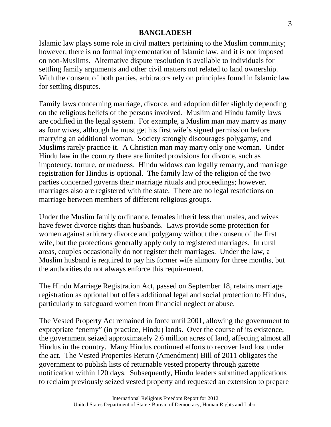Islamic law plays some role in civil matters pertaining to the Muslim community; however, there is no formal implementation of Islamic law, and it is not imposed on non-Muslims. Alternative dispute resolution is available to individuals for settling family arguments and other civil matters not related to land ownership. With the consent of both parties, arbitrators rely on principles found in Islamic law for settling disputes.

Family laws concerning marriage, divorce, and adoption differ slightly depending on the religious beliefs of the persons involved. Muslim and Hindu family laws are codified in the legal system. For example, a Muslim man may marry as many as four wives, although he must get his first wife's signed permission before marrying an additional woman. Society strongly discourages polygamy, and Muslims rarely practice it. A Christian man may marry only one woman. Under Hindu law in the country there are limited provisions for divorce, such as impotency, torture, or madness. Hindu widows can legally remarry, and marriage registration for Hindus is optional. The family law of the religion of the two parties concerned governs their marriage rituals and proceedings; however, marriages also are registered with the state. There are no legal restrictions on marriage between members of different religious groups.

Under the Muslim family ordinance, females inherit less than males, and wives have fewer divorce rights than husbands. Laws provide some protection for women against arbitrary divorce and polygamy without the consent of the first wife, but the protections generally apply only to registered marriages. In rural areas, couples occasionally do not register their marriages. Under the law, a Muslim husband is required to pay his former wife alimony for three months, but the authorities do not always enforce this requirement.

The Hindu Marriage Registration Act, passed on September 18, retains marriage registration as optional but offers additional legal and social protection to Hindus, particularly to safeguard women from financial neglect or abuse.

The Vested Property Act remained in force until 2001, allowing the government to expropriate "enemy" (in practice, Hindu) lands. Over the course of its existence, the government seized approximately 2.6 million acres of land, affecting almost all Hindus in the country. Many Hindus continued efforts to recover land lost under the act. The Vested Properties Return (Amendment) Bill of 2011 obligates the government to publish lists of returnable vested property through gazette notification within 120 days. Subsequently, Hindu leaders submitted applications to reclaim previously seized vested property and requested an extension to prepare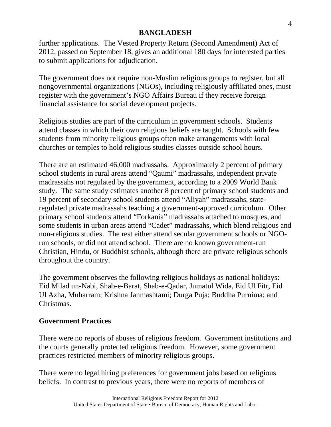further applications. The Vested Property Return (Second Amendment) Act of 2012, passed on September 18, gives an additional 180 days for interested parties to submit applications for adjudication.

The government does not require non-Muslim religious groups to register, but all nongovernmental organizations (NGOs), including religiously affiliated ones, must register with the government's NGO Affairs Bureau if they receive foreign financial assistance for social development projects.

Religious studies are part of the curriculum in government schools. Students attend classes in which their own religious beliefs are taught. Schools with few students from minority religious groups often make arrangements with local churches or temples to hold religious studies classes outside school hours.

There are an estimated 46,000 madrassahs. Approximately 2 percent of primary school students in rural areas attend "Qaumi" madrassahs, independent private madrassahs not regulated by the government, according to a 2009 World Bank study. The same study estimates another 8 percent of primary school students and 19 percent of secondary school students attend "Aliyah" madrassahs, stateregulated private madrassahs teaching a government-approved curriculum. Other primary school students attend "Forkania" madrassahs attached to mosques, and some students in urban areas attend "Cadet" madrassahs, which blend religious and non-religious studies. The rest either attend secular government schools or NGOrun schools, or did not attend school. There are no known government-run Christian, Hindu, or Buddhist schools, although there are private religious schools throughout the country.

The government observes the following religious holidays as national holidays: Eid Milad un-Nabi, Shab-e-Barat, Shab-e-Qadar, Jumatul Wida, Eid Ul Fitr, Eid Ul Azha, Muharram; Krishna Janmashtami; Durga Puja; Buddha Purnima; and Christmas.

## **Government Practices**

There were no reports of abuses of religious freedom. Government institutions and the courts generally protected religious freedom. However, some government practices restricted members of minority religious groups.

There were no legal hiring preferences for government jobs based on religious beliefs. In contrast to previous years, there were no reports of members of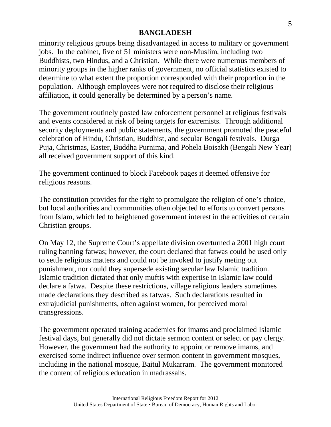minority religious groups being disadvantaged in access to military or government jobs. In the cabinet, five of 51 ministers were non-Muslim, including two Buddhists, two Hindus, and a Christian. While there were numerous members of minority groups in the higher ranks of government, no official statistics existed to determine to what extent the proportion corresponded with their proportion in the population. Although employees were not required to disclose their religious affiliation, it could generally be determined by a person's name.

The government routinely posted law enforcement personnel at religious festivals and events considered at risk of being targets for extremists. Through additional security deployments and public statements, the government promoted the peaceful celebration of Hindu, Christian, Buddhist, and secular Bengali festivals. Durga Puja, Christmas, Easter, Buddha Purnima, and Pohela Boisakh (Bengali New Year) all received government support of this kind.

The government continued to block Facebook pages it deemed offensive for religious reasons.

The constitution provides for the right to promulgate the religion of one's choice, but local authorities and communities often objected to efforts to convert persons from Islam, which led to heightened government interest in the activities of certain Christian groups.

On May 12, the Supreme Court's appellate division overturned a 2001 high court ruling banning fatwas; however, the court declared that fatwas could be used only to settle religious matters and could not be invoked to justify meting out punishment, nor could they supersede existing secular law Islamic tradition. Islamic tradition dictated that only muftis with expertise in Islamic law could declare a fatwa. Despite these restrictions, village religious leaders sometimes made declarations they described as fatwas. Such declarations resulted in extrajudicial punishments, often against women, for perceived moral transgressions.

The government operated training academies for imams and proclaimed Islamic festival days, but generally did not dictate sermon content or select or pay clergy. However, the government had the authority to appoint or remove imams, and exercised some indirect influence over sermon content in government mosques, including in the national mosque, Baitul Mukarram. The government monitored the content of religious education in madrassahs.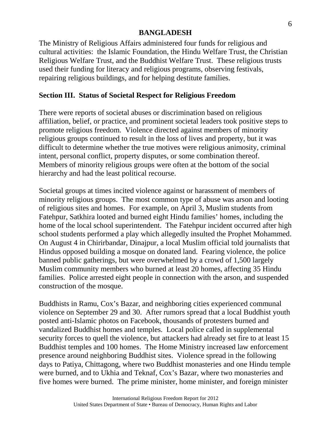The Ministry of Religious Affairs administered four funds for religious and cultural activities: the Islamic Foundation, the Hindu Welfare Trust, the Christian Religious Welfare Trust, and the Buddhist Welfare Trust. These religious trusts used their funding for literacy and religious programs, observing festivals, repairing religious buildings, and for helping destitute families.

## **Section III. Status of Societal Respect for Religious Freedom**

There were reports of societal abuses or discrimination based on religious affiliation, belief, or practice, and prominent societal leaders took positive steps to promote religious freedom. Violence directed against members of minority religious groups continued to result in the loss of lives and property, but it was difficult to determine whether the true motives were religious animosity, criminal intent, personal conflict, property disputes, or some combination thereof. Members of minority religious groups were often at the bottom of the social hierarchy and had the least political recourse.

Societal groups at times incited violence against or harassment of members of minority religious groups. The most common type of abuse was arson and looting of religious sites and homes. For example, on April 3, Muslim students from Fatehpur, Satkhira looted and burned eight Hindu families' homes, including the home of the local school superintendent. The Fatehpur incident occurred after high school students performed a play which allegedly insulted the Prophet Mohammed. On August 4 in Chirirbandar, Dinajpur, a local Muslim official told journalists that Hindus opposed building a mosque on donated land. Fearing violence, the police banned public gatherings, but were overwhelmed by a crowd of 1,500 largely Muslim community members who burned at least 20 homes, affecting 35 Hindu families. Police arrested eight people in connection with the arson, and suspended construction of the mosque.

Buddhists in Ramu, Cox's Bazar, and neighboring cities experienced communal violence on September 29 and 30. After rumors spread that a local Buddhist youth posted anti-Islamic photos on Facebook, thousands of protesters burned and vandalized Buddhist homes and temples. Local police called in supplemental security forces to quell the violence, but attackers had already set fire to at least 15 Buddhist temples and 100 homes. The Home Ministry increased law enforcement presence around neighboring Buddhist sites. Violence spread in the following days to Patiya, Chittagong, where two Buddhist monasteries and one Hindu temple were burned, and to Ukhia and Teknaf, Cox's Bazar, where two monasteries and five homes were burned. The prime minister, home minister, and foreign minister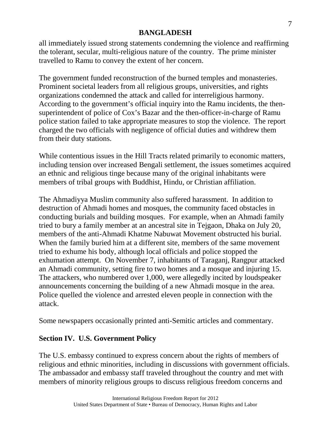all immediately issued strong statements condemning the violence and reaffirming the tolerant, secular, multi-religious nature of the country. The prime minister travelled to Ramu to convey the extent of her concern.

The government funded reconstruction of the burned temples and monasteries. Prominent societal leaders from all religious groups, universities, and rights organizations condemned the attack and called for interreligious harmony. According to the government's official inquiry into the Ramu incidents, the thensuperintendent of police of Cox's Bazar and the then-officer-in-charge of Ramu police station failed to take appropriate measures to stop the violence. The report charged the two officials with negligence of official duties and withdrew them from their duty stations.

While contentious issues in the Hill Tracts related primarily to economic matters, including tension over increased Bengali settlement, the issues sometimes acquired an ethnic and religious tinge because many of the original inhabitants were members of tribal groups with Buddhist, Hindu, or Christian affiliation.

The Ahmadiyya Muslim community also suffered harassment. In addition to destruction of Ahmadi homes and mosques, the community faced obstacles in conducting burials and building mosques. For example, when an Ahmadi family tried to bury a family member at an ancestral site in Tejgaon, Dhaka on July 20, members of the anti-Ahmadi Khatme Nabuwat Movement obstructed his burial. When the family buried him at a different site, members of the same movement tried to exhume his body, although local officials and police stopped the exhumation attempt. On November 7, inhabitants of Taraganj, Rangpur attacked an Ahmadi community, setting fire to two homes and a mosque and injuring 15. The attackers, who numbered over 1,000, were allegedly incited by loudspeaker announcements concerning the building of a new Ahmadi mosque in the area. Police quelled the violence and arrested eleven people in connection with the attack.

Some newspapers occasionally printed anti-Semitic articles and commentary.

# **Section IV. U.S. Government Policy**

The U.S. embassy continued to express concern about the rights of members of religious and ethnic minorities, including in discussions with government officials. The ambassador and embassy staff traveled throughout the country and met with members of minority religious groups to discuss religious freedom concerns and